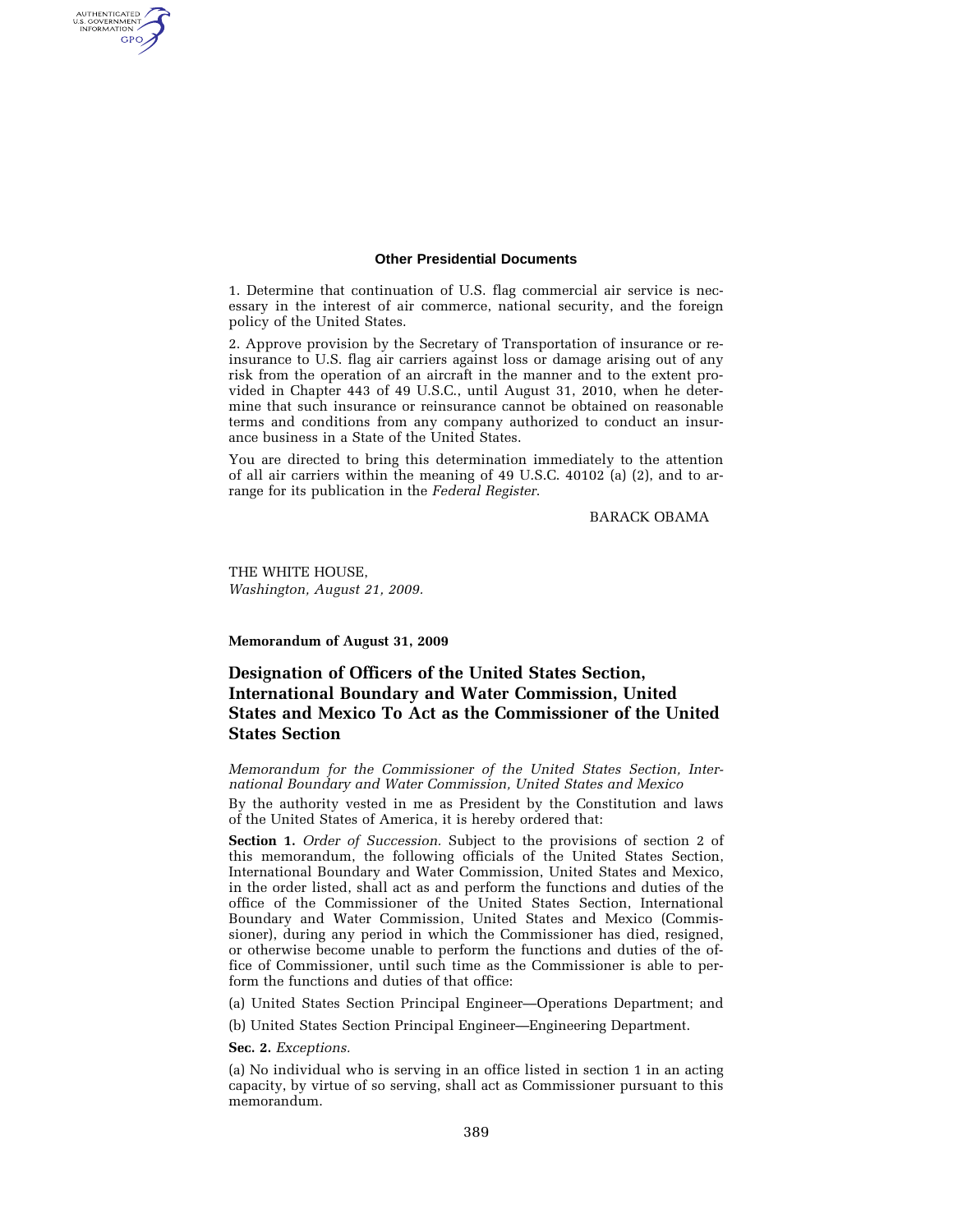#### **Other Presidential Documents**

1. Determine that continuation of U.S. flag commercial air service is necessary in the interest of air commerce, national security, and the foreign policy of the United States.

2. Approve provision by the Secretary of Transportation of insurance or reinsurance to U.S. flag air carriers against loss or damage arising out of any risk from the operation of an aircraft in the manner and to the extent provided in Chapter 443 of 49 U.S.C., until August 31, 2010, when he determine that such insurance or reinsurance cannot be obtained on reasonable terms and conditions from any company authorized to conduct an insurance business in a State of the United States.

You are directed to bring this determination immediately to the attention of all air carriers within the meaning of 49 U.S.C. 40102 (a) (2), and to arrange for its publication in the *Federal Register*.

BARACK OBAMA

THE WHITE HOUSE, *Washington, August 21, 2009.* 

AUTHENTICATED<br>U.S. GOVERNMENT<br>INFORMATION GPO

**Memorandum of August 31, 2009** 

# **Designation of Officers of the United States Section, International Boundary and Water Commission, United States and Mexico To Act as the Commissioner of the United States Section**

*Memorandum for the Commissioner of the United States Section, International Boundary and Water Commission, United States and Mexico* 

By the authority vested in me as President by the Constitution and laws of the United States of America, it is hereby ordered that:

**Section 1.** *Order of Succession.* Subject to the provisions of section 2 of this memorandum, the following officials of the United States Section, International Boundary and Water Commission, United States and Mexico, in the order listed, shall act as and perform the functions and duties of the office of the Commissioner of the United States Section, International Boundary and Water Commission, United States and Mexico (Commissioner), during any period in which the Commissioner has died, resigned, or otherwise become unable to perform the functions and duties of the office of Commissioner, until such time as the Commissioner is able to perform the functions and duties of that office:

(a) United States Section Principal Engineer—Operations Department; and

(b) United States Section Principal Engineer—Engineering Department.

**Sec. 2.** *Exceptions.* 

(a) No individual who is serving in an office listed in section 1 in an acting capacity, by virtue of so serving, shall act as Commissioner pursuant to this memorandum.